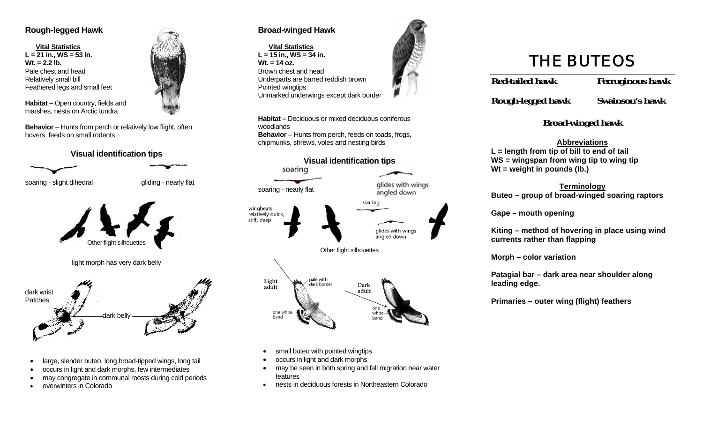#### **Rough-legged Hawk**

 **Vital Statistics L = 21 in., WS = 53 in. Wt. = 2.2 lb.**Pale chest and head Relatively small bill Feathered legs and small feet

**Habitat – Open country, fields and** marshes, nests on Arctic tundra

**Behavior** – Hunts from perch or relatively low flight, often hovers, feeds on small rodents





soaring - slight dihedral gliding - nearly flat



- large, slender buteo, long broad-tipped wings, long tail
- occurs in light and dark morphs, few intermediates
- may congregate in communal roosts during cold periods
- •overwinters in Colorado

#### **Broad-winged Hawk**

woodlands

soaring - nearly flat

wingbeats relatively quick, stiff, deep

Light

adult

one white

band

 **Vital Statistics L = 15 in., WS = 34 in. Wt. = 14 oz.**Brown chest and head Underparts are barred reddish brown Pointed wingtips Unmarked underwings except dark border

**Habitat –** Deciduous or mixed deciduous coniferous

**Behavior** – Hunts from perch, feeds on toads, frogs,

**Visual identification tips** 

chipmunks, shrews, voles and nesting birds



glides with wings angled down

alides with wings angled down

# **THE BUTEOS**

**Red-tailed hawk Ferruginous hawk** 

**Rough-legged hawk Swainson's hawk** 

# **Broad-winged hawk**

# **Abbreviations**

**L = length from tip of bill to end of tail WS = wingspan from wing tip to wing tip Wt = weight in pounds (lb.)** 

#### **Terminology**

**Buteo – group of broad-winged soaring raptors** 

**Gape – mouth opening** 

**Kiting – method of hovering in place using wind currents rather than flapping** 

**Morph – color variation** 

**Patagial bar – dark area near shoulder along leading edge.** 

**Primaries – outer wing (flight) feathers** 

small buteo with pointed wingtips

pale with

dark border

- occurs in light and dark morphs
- may be seen in both spring and fall migration near water features

Other flight silhouettes

Dark

adult

one

white

band

soaring

•nests in deciduous forests in Northeastern Colorado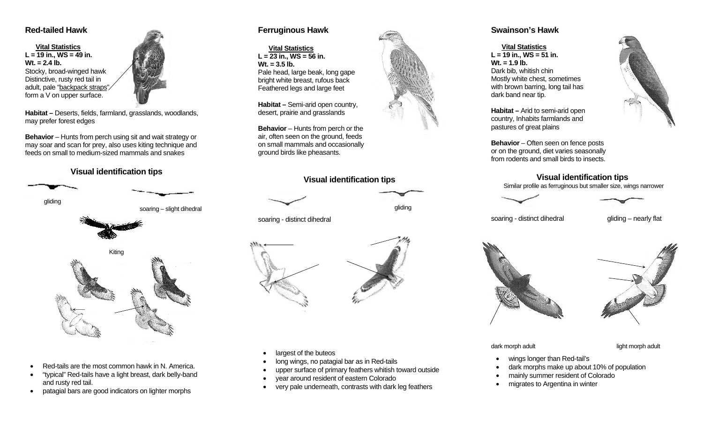#### **Red-tailed Hawk**

 **Vital Statistics L = 19 in., WS = 49 in. Wt. = 2.4 lb.**Stocky, broad-winged hawk Distinctive, rusty red tail in adult, pale "backpack straps" form a V on upper surface.

**Habitat –** Deserts, fields, farmland, grasslands, woodlands, may prefer forest edges

**Behavior** – Hunts from perch using sit and wait strategy or may soar and scan for prey, also uses kiting technique and feeds on small to medium-sized mammals and snakes

# **Visual identification tips**



soaring – slight dihedral



- Red-tails are the most common hawk in N. America.
- • "typical" Red-tails have a light breast, dark belly-band and rusty red tail.
- patagial bars are good indicators on lighter morphs

# **Ferruginous Hawk**

 **Vital StatisticsL = 23 in., WS = 56 in. Wt. = 3.5 lb.**Pale head, large beak, long gape bright white breast, rufous back Feathered legs and large feet

**Habitat –** Semi-arid open country, desert, prairie and grasslands

**Behavior** – Hunts from perch or the air, often seen on the ground, feeds on small mammals and occasionally ground birds like pheasants.

### **Visual identification tips**



soaring - distinct dihedral



- largest of the buteos
- long wings, no patagial bar as in Red-tails
- upper surface of primary feathers whitish toward outside
- year around resident of eastern Colorado
- very pale underneath, contrasts with dark leg feathers

# **Swainson's Hawk**

#### **Vital Statistics L = 19 in., WS = 51 in. Wt. = 1.9 lb.**Dark bib, whitish chin Mostly white chest, sometimes with brown barring, long tail has dark band near tip.

**Habitat –** Arid to semi-arid open country, Inhabits farmlands and pastures of great plains

**Behavior** – Often seen on fence posts or on the ground, diet varies seasonally from rodents and small birds to insects.

#### **Visual identification tips**

Similar profile as ferruginous but smaller size, wings narrower





soaring - distinct dihedral gliding – nearly flat





dark morph adult light morph adult

- wings longer than Red-tail's
- dark morphs make up about 10% of population
- mainly summer resident of Colorado
- migrates to Argentina in winter



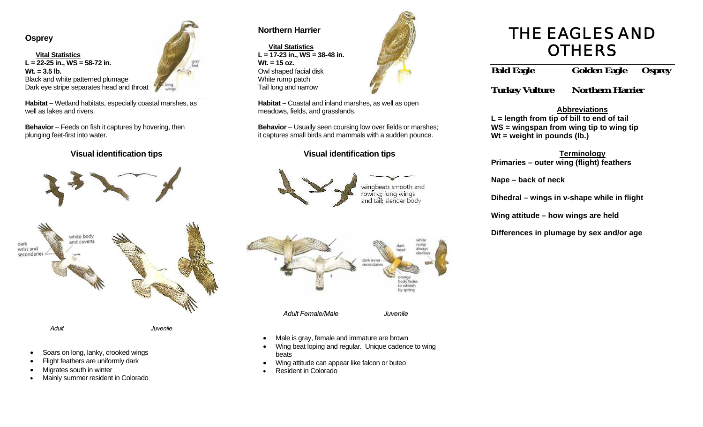#### **Osprey**

 **Vital Statistics L = 22-25 in., WS = 58-72 in. Wt. = 3.5 lb.**Black and white patterned plumage Dark eye stripe separates head and throat

**Habitat –** Wetland habitats, especially coastal marshes, as well as lakes and rivers.

**Behavior** – Feeds on fish it captures by hovering, then plunging feet-first into water.

**Visual identification tips** 





- Soars on long, lanky, crooked wings
- Flight feathers are uniformly dark
- Migrates south in winter
- •Mainly summer resident in Colorado

## **Northern Harrier**

 **Vital Statistics L = 17-23 in., WS = 38-48 in. Wt. = 15 oz.**Owl shaped facial disk White rump patch Tail long and narrow



**Habitat –** Coastal and inland marshes, as well as open meadows, fields, and grasslands.

**Behavior** – Usually seen coursing low over fields or marshes; it captures small birds and mammals with a sudden pounce.

#### **Visual identification tips**





- Male is gray, female and immature are brown
- Wing beat loping and regular. Unique cadence to wing beats
- Wing attitude can appear like falcon or buteo
- •Resident in Colorado



**Bald Eagle Golden Eagle Osprey** 

**Turkey Vulture Northern Harrier**

#### **Abbreviations**

**L = length from tip of bill to end of tail WS = wingspan from wing tip to wing tip Wt = weight in pounds (lb.)** 

# **Terminology**

**Primaries – outer wing (flight) feathers** 

**Nape – back of neck** 

**Dihedral – wings in v-shape while in flight** 

**Wing attitude – how wings are held** 

**Differences in plumage by sex and/or age**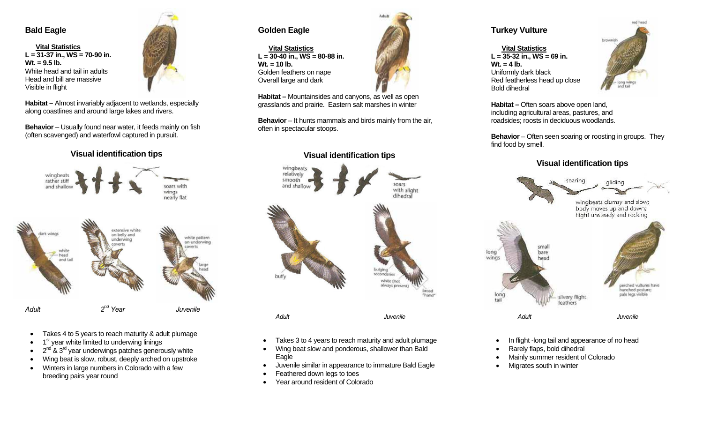#### **Bald Eagle**

 **Vital Statistics L = 31-37 in., WS = 70-90 in. Wt. = 9.5 lb.**White head and tail in adults Head and bill are massive Visible in flight



**Habitat –** Almost invariably adjacent to wetlands, especially along coastlines and around large lakes and rivers.

**Behavior** – Usually found near water, it feeds mainly on fish (often scavenged) and waterfowl captured in pursuit.

#### **Visual identification tips**



- Takes 4 to 5 years to reach maturity & adult plumage
- 1<sup>st</sup> year white limited to underwing linings
- $2<sup>nd</sup>$  &  $3<sup>rd</sup>$  year underwings patches generously white
- Wing beat is slow, robust, deeply arched on upstroke
- Winters in large numbers in Colorado with a few breeding pairs year round

# **Golden Eagle**

 **Vital StatisticsL = 30-40 in., WS = 80-88 in. Wt. = 10 lb.**Golden feathers on nape Overall large and dark



**Habitat –** Mountainsides and canyons, as well as open grasslands and prairie. Eastern salt marshes in winter

**Behavior** – It hunts mammals and birds mainly from the air, often in spectacular stoops.

#### **Visual identification tips**





#### **Turkey Vulture**

 **Vital StatisticsL = 35-32 in., WS = 69 in. Wt. = 4 lb.** Uniformly dark black Red featherless head up close Bold dihedral



**Habitat –** Often soars above open land, including agricultural areas, pastures, and roadsides; roosts in deciduous woodlands.

**Behavior** – Often seen soaring or roosting in groups. They find food by smell.

#### **Visual identification tips**



- In flight -long tail and appearance of no head
- Rarely flaps, bold dihedral
- Mainly summer resident of Colorado
- Migrates south in winter
- Takes 3 to 4 years to reach maturity and adult plumage
- Wing beat slow and ponderous, shallower than Bald Eagle
- Juvenile similar in appearance to immature Bald Eagle
- Feathered down legs to toes
- Year around resident of Colorado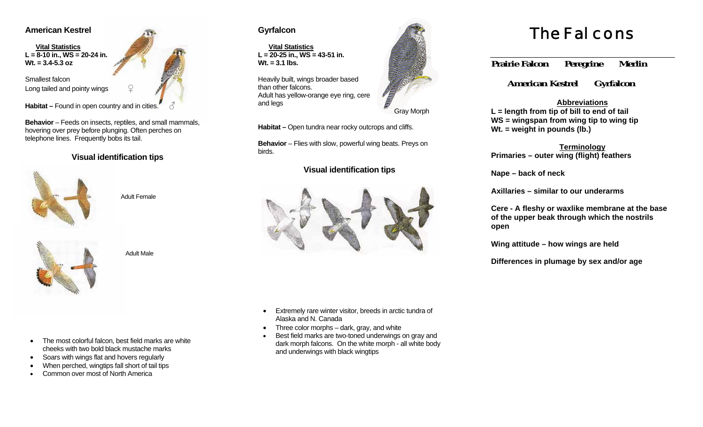#### **American Kestrel**

 **Vital Statistics L = 8-10 in., WS = 20-24 in. Wt. = 3.4-5.3 oz**

Smallest falcon Long tailed and pointy wings

Habitat – Found in open country and in cities.

**Behavior** – Feeds on insects, reptiles, and small mammals, hovering over prey before plunging. Often perches on telephone lines. Frequently bobs its tail.

#### **Visual identification tips**



Adult Female



Adult Male

• The most colorful falcon, best field marks are white cheeks with two bold black mustache marks

- Soars with wings flat and hovers regularly
- When perched, wingtips fall short of tail tips
- •Common over most of North America

# **Gyrfalcon**

 **Vital Statistics L = 20-25 in., WS = 43-51 in. Wt. = 3.1 lbs.**

Heavily built, wings broader based than other falcons. Adult has yellow-orange eye ring, cere and legs

Habitat – Open tundra near rocky outcrops and cliffs.

**Behavior** – Flies with slow, powerful wing beats. Preys on birds.

#### **Visual identification tips**



• Extremely rare winter visitor, breeds in arctic tundra of Alaska and N. Canada

- Three color morphs dark, gray, and white
- • Best field marks are two-toned underwings on gray and dark morph falcons. On the white morph - all white body and underwings with black wingtips



# The Falcons

**Prairie Falcon Peregrine Merlin** 

 **American Kestrel Gyrfalcon**

#### **Abbreviations**

**L = length from tip of bill to end of tail WS = wingspan from wing tip to wing tip Wt. = weight in pounds (lb.)** 

#### **Terminology Primaries – outer wing (flight) feathers**

**Nape – back of neck** 

**Axillaries – similar to our underarms** 

**Cere - A fleshy or waxlike membrane at the base of the upper beak through which the nostrils open** 

**Wing attitude – how wings are held** 

**Differences in plumage by sex and/or age**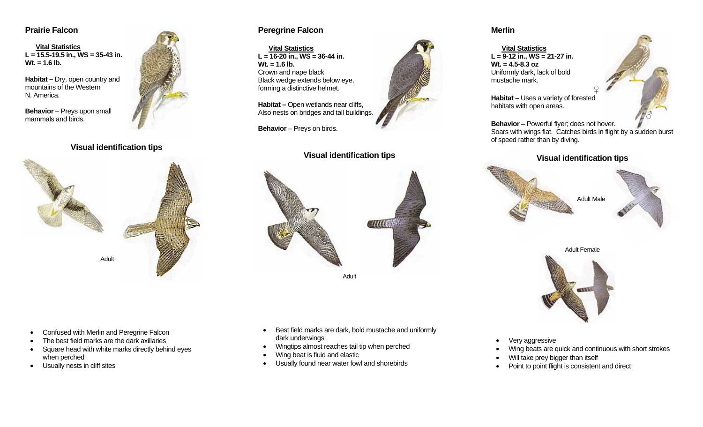#### **Prairie Falcon**

 **Vital Statistics L = 15.5-19.5 in., WS = 35-43 in. Wt. = 1.6 lb.**

**Habitat –** Dry, open country and mountains of the Western N. America.

**Behavior** – Preys upon small mammals and birds.

#### **Visual identification tips**



#### **Peregrine Falcon**

 **Vital StatisticsL = 16-20 in., WS = 36-44 in. Wt. = 1.6 lb.** Crown and nape black Black wedge extends below eye, forming a distinctive helmet.

**Habitat – Open wetlands near cliffs,** Also nests on bridges and tall buildings.

**Behavior** – Preys on birds.

#### **Visual identification tips**





#### **Merlin**

 **Vital Statistics L = 9-12 in., WS = 21-27 in. Wt. = 4.5-8.3 oz** Uniformly dark, lack of bold mustache mark.



**Habitat –** Uses a variety of forested habitats with open areas.

**Behavior** – Powerful flyer; does not hover. Soars with wings flat. Catches birds in flight by a sudden burst of speed rather than by diving.

*♀*

#### **Visual identification tips**



Adult Female



- Confused with Merlin and Peregrine Falcon
- The best field marks are the dark axillaries
- Square head with white marks directly behind eyes when perched
- Usually nests in cliff sites
- Best field marks are dark, bold mustache and uniformly dark underwings
- Wingtips almost reaches tail tip when perched
- Wing beat is fluid and elastic
- Usually found near water fowl and shorebirds
- Very aggressive
- Wing beats are quick and continuous with short strokes
- Will take prey bigger than itself
- Point to point flight is consistent and direct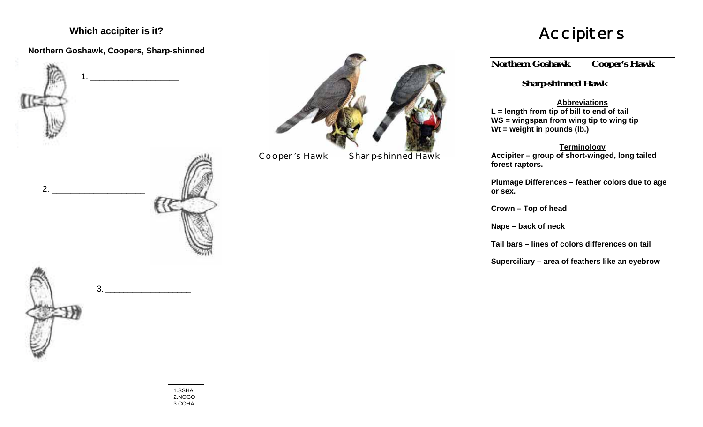# **Which accipiter is it?**

# **Northern Goshawk, Coopers, Sharp-shinned**





Cooper's Hawk Sharp-shinned Hawk

# Accipiters

**Northern Goshawk Cooper's Hawk** 

 **Sharp-shinned Hawk** 

#### **Abbreviations**

**L = length from tip of bill to end of tail WS = wingspan from wing tip to wing tip Wt = weight in pounds (lb.)** 

**Terminology**

**Accipiter – group of short-winged, long tailed forest raptors.** 

**Plumage Differences – feather colors due to age or sex.** 

**Crown – Top of head** 

**Nape – back of neck** 

**Tail bars – lines of colors differences on tail** 

**Superciliary – area of feathers like an eyebrow**